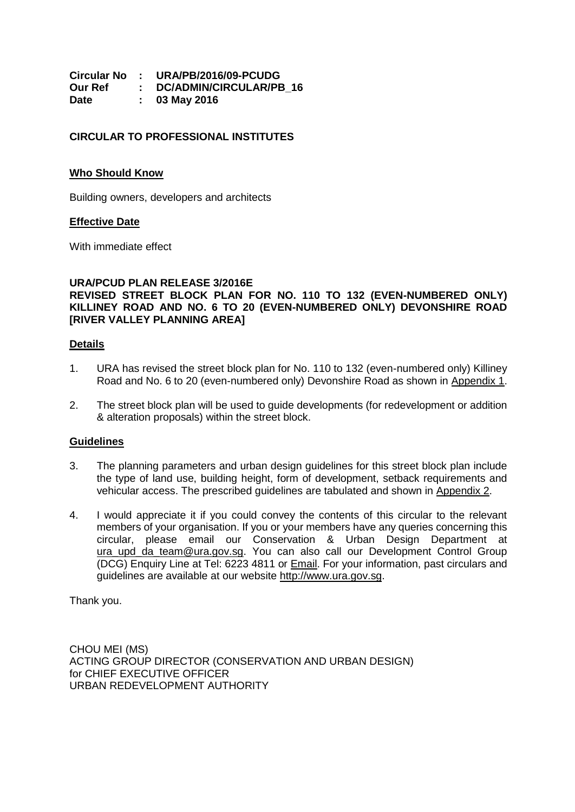|         | Circular No : URA/PB/2016/09-PCUDG |
|---------|------------------------------------|
| Our Ref | : DC/ADMIN/CIRCULAR/PB 16          |
| Date    | 03 May 2016                        |

# **CIRCULAR TO PROFESSIONAL INSTITUTES**

### **Who Should Know**

Building owners, developers and architects

### **Effective Date**

With immediate effect

# **URA/PCUD PLAN RELEASE 3/2016E REVISED STREET BLOCK PLAN FOR NO. 110 TO 132 (EVEN-NUMBERED ONLY) KILLINEY ROAD AND NO. 6 TO 20 (EVEN-NUMBERED ONLY) DEVONSHIRE ROAD [RIVER VALLEY PLANNING AREA]**

### **Details**

- 1. URA has revised the street block plan for No. 110 to 132 (even-numbered only) Killiney Road and No. 6 to 20 (even-numbered only) Devonshire Road as shown in [Appendix 1.](#page-1-0)
- 2. The street block plan will be used to guide developments (for redevelopment or addition & alteration proposals) within the street block.

### **Guidelines**

- 3. The planning parameters and urban design guidelines for this street block plan include the type of land use, building height, form of development, setback requirements and vehicular access. The prescribed guidelines are tabulated and shown in [Appendix 2.](#page-2-0)
- 4. I would appreciate it if you could convey the contents of this circular to the relevant members of your organisation. If you or your members have any queries concerning this circular, please email our Conservation & Urban Design Department at [ura\\_upd\\_da\\_team@ura.gov.sg.](mailto:ura_upd_da_team@ura.gov.sg) You can also call our Development Control Group (DCG) Enquiry Line at Tel: 6223 4811 or [Email.](https://www.ura.gov.sg/feedbackWeb/contactus_feedback.jsp) For your information, past circulars and guidelines are available at our website [http://www.ura.gov.sg.](http://www.ura.gov.sg/)

Thank you.

CHOU MEI (MS) ACTING GROUP DIRECTOR (CONSERVATION AND URBAN DESIGN) for CHIEF EXECUTIVE OFFICER URBAN REDEVELOPMENT AUTHORITY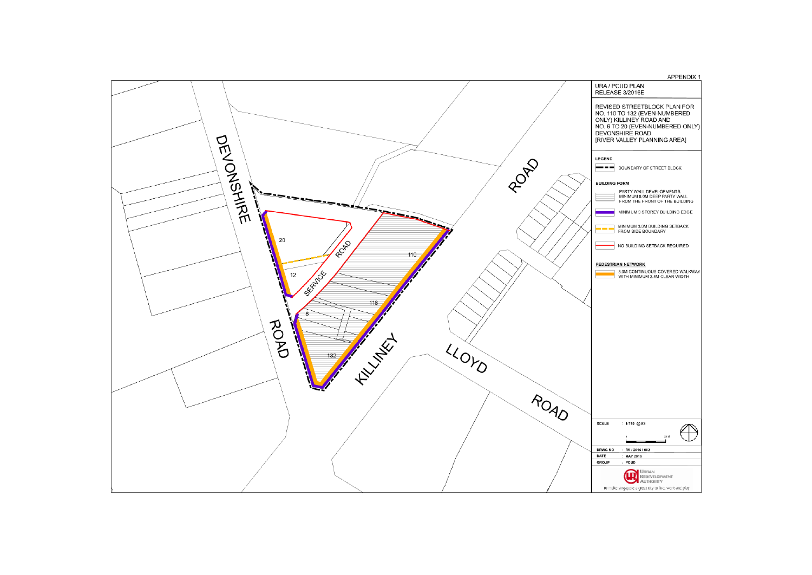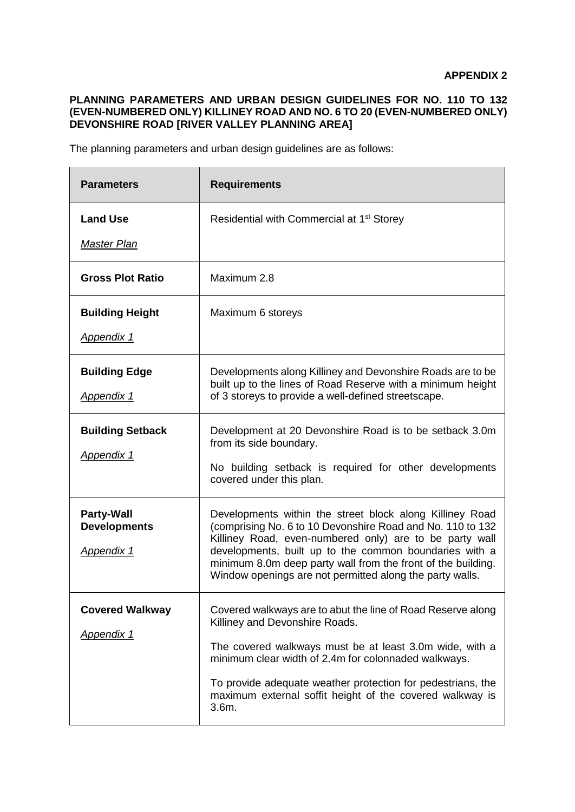# <span id="page-2-0"></span>**PLANNING PARAMETERS AND URBAN DESIGN GUIDELINES FOR NO. 110 TO 132 (EVEN-NUMBERED ONLY) KILLINEY ROAD AND NO. 6 TO 20 (EVEN-NUMBERED ONLY) DEVONSHIRE ROAD [RIVER VALLEY PLANNING AREA]**

The planning parameters and urban design guidelines are as follows:

| <b>Parameters</b>                                      | <b>Requirements</b>                                                                                                                                                                                                                                                                                                                                                     |
|--------------------------------------------------------|-------------------------------------------------------------------------------------------------------------------------------------------------------------------------------------------------------------------------------------------------------------------------------------------------------------------------------------------------------------------------|
| <b>Land Use</b><br><b>Master Plan</b>                  | Residential with Commercial at 1 <sup>st</sup> Storey                                                                                                                                                                                                                                                                                                                   |
| <b>Gross Plot Ratio</b>                                | Maximum 2.8                                                                                                                                                                                                                                                                                                                                                             |
| <b>Building Height</b><br><b>Appendix 1</b>            | Maximum 6 storeys                                                                                                                                                                                                                                                                                                                                                       |
| <b>Building Edge</b><br><b>Appendix 1</b>              | Developments along Killiney and Devonshire Roads are to be<br>built up to the lines of Road Reserve with a minimum height<br>of 3 storeys to provide a well-defined streetscape.                                                                                                                                                                                        |
| <b>Building Setback</b><br>Appendix 1                  | Development at 20 Devonshire Road is to be setback 3.0m<br>from its side boundary.<br>No building setback is required for other developments<br>covered under this plan.                                                                                                                                                                                                |
| <b>Party-Wall</b><br><b>Developments</b><br>Appendix 1 | Developments within the street block along Killiney Road<br>(comprising No. 6 to 10 Devonshire Road and No. 110 to 132<br>Killiney Road, even-numbered only) are to be party wall<br>developments, built up to the common boundaries with a<br>minimum 8.0m deep party wall from the front of the building.<br>Window openings are not permitted along the party walls. |
| <b>Covered Walkway</b><br><b>Appendix 1</b>            | Covered walkways are to abut the line of Road Reserve along<br>Killiney and Devonshire Roads.<br>The covered walkways must be at least 3.0m wide, with a<br>minimum clear width of 2.4m for colonnaded walkways.<br>To provide adequate weather protection for pedestrians, the<br>maximum external soffit height of the covered walkway is<br>3.6m.                    |